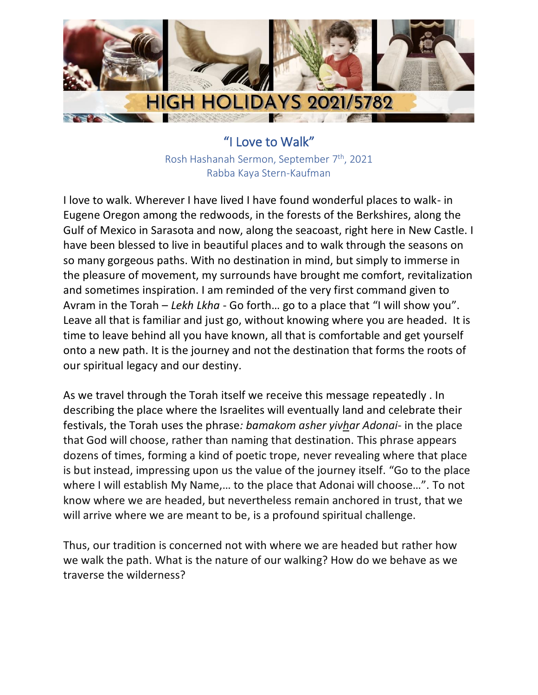

"I Love to Walk" Rosh Hashanah Sermon, September 7th, 2021 Rabba Kaya Stern-Kaufman

I love to walk. Wherever I have lived I have found wonderful places to walk- in Eugene Oregon among the redwoods, in the forests of the Berkshires, along the Gulf of Mexico in Sarasota and now, along the seacoast, right here in New Castle. I have been blessed to live in beautiful places and to walk through the seasons on so many gorgeous paths. With no destination in mind, but simply to immerse in the pleasure of movement, my surrounds have brought me comfort, revitalization and sometimes inspiration. I am reminded of the very first command given to Avram in the Torah – *Lekh Lkha* - Go forth… go to a place that "I will show you". Leave all that is familiar and just go, without knowing where you are headed. It is time to leave behind all you have known, all that is comfortable and get yourself onto a new path. It is the journey and not the destination that forms the roots of our spiritual legacy and our destiny.

As we travel through the Torah itself we receive this message repeatedly . In describing the place where the Israelites will eventually land and celebrate their festivals, the Torah uses the phrase*: bamakom asher yivhar Adonai-* in the place that God will choose, rather than naming that destination. This phrase appears dozens of times, forming a kind of poetic trope, never revealing where that place is but instead, impressing upon us the value of the journey itself. "Go to the place where I will establish My Name,… to the place that Adonai will choose…". To not know where we are headed, but nevertheless remain anchored in trust, that we will arrive where we are meant to be, is a profound spiritual challenge.

Thus, our tradition is concerned not with where we are headed but rather how we walk the path. What is the nature of our walking? How do we behave as we traverse the wilderness?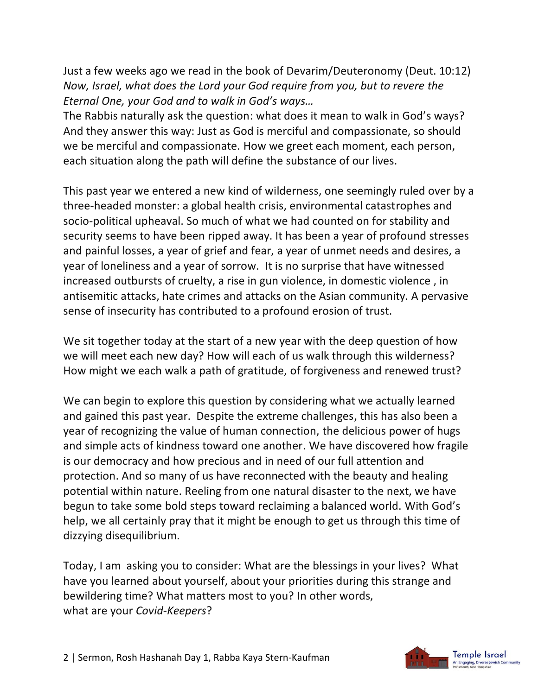Just a few weeks ago we read in the book of Devarim/Deuteronomy (Deut. 10:12) *Now, Israel, what does the Lord your God require from you, but to revere the Eternal One, your God and to walk in God's ways…* 

The Rabbis naturally ask the question: what does it mean to walk in God's ways? And they answer this way: Just as God is merciful and compassionate, so should we be merciful and compassionate. How we greet each moment, each person, each situation along the path will define the substance of our lives.

This past year we entered a new kind of wilderness, one seemingly ruled over by a three-headed monster: a global health crisis, environmental catastrophes and socio-political upheaval. So much of what we had counted on for stability and security seems to have been ripped away. It has been a year of profound stresses and painful losses, a year of grief and fear, a year of unmet needs and desires, a year of loneliness and a year of sorrow. It is no surprise that have witnessed increased outbursts of cruelty, a rise in gun violence, in domestic violence , in antisemitic attacks, hate crimes and attacks on the Asian community. A pervasive sense of insecurity has contributed to a profound erosion of trust.

We sit together today at the start of a new year with the deep question of how we will meet each new day? How will each of us walk through this wilderness? How might we each walk a path of gratitude, of forgiveness and renewed trust?

We can begin to explore this question by considering what we actually learned and gained this past year. Despite the extreme challenges, this has also been a year of recognizing the value of human connection, the delicious power of hugs and simple acts of kindness toward one another. We have discovered how fragile is our democracy and how precious and in need of our full attention and protection. And so many of us have reconnected with the beauty and healing potential within nature. Reeling from one natural disaster to the next, we have begun to take some bold steps toward reclaiming a balanced world. With God's help, we all certainly pray that it might be enough to get us through this time of dizzying disequilibrium.

Today, I am asking you to consider: What are the blessings in your lives? What have you learned about yourself, about your priorities during this strange and bewildering time? What matters most to you? In other words, what are your *Covid-Keepers*?

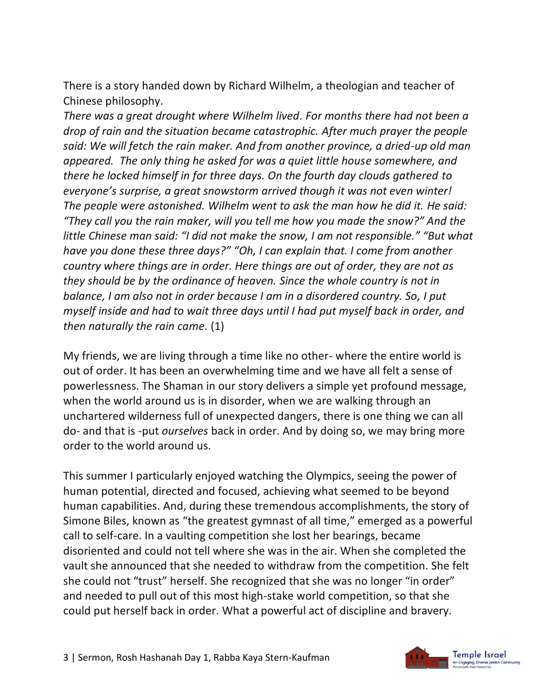There is a story handed down by Richard Wilhelm, a theologian and teacher of Chinese philosophy.

*There was a great drought where Wilhelm lived. For months there had not been a drop of rain and the situation became catastrophic. After much prayer the people said: We will fetch the rain maker. And from another province, a dried-up old man appeared. The only thing he asked for was a quiet little house somewhere, and there he locked himself in for three days. On the fourth day clouds gathered to everyone's surprise, a great snowstorm arrived though it was not even winter! The people were astonished. Wilhelm went to ask the man how he did it. He said: "They call you the rain maker, will you tell me how you made the snow?" And the little Chinese man said: "I did not make the snow, I am not responsible." "But what have you done these three days?" "Oh, I can explain that. I come from another country where things are in order. Here things are out of order, they are not as they should be by the ordinance of heaven. Since the whole country is not in balance, I am also not in order because I am in a disordered country. So, I put myself inside and had to wait three days until I had put myself back in order, and then naturally the rain came.* (1)

My friends, we are living through a time like no other- where the entire world is out of order. It has been an overwhelming time and we have all felt a sense of powerlessness. The Shaman in our story delivers a simple yet profound message, when the world around us is in disorder, when we are walking through an unchartered wilderness full of unexpected dangers, there is one thing we can all do- and that is -put *ourselves* back in order. And by doing so, we may bring more order to the world around us.

This summer I particularly enjoyed watching the Olympics, seeing the power of human potential, directed and focused, achieving what seemed to be beyond human capabilities. And, during these tremendous accomplishments, the story of Simone Biles, known as "the greatest gymnast of all time," emerged as a powerful call to self-care. In a vaulting competition she lost her bearings, became disoriented and could not tell where she was in the air. When she completed the vault she announced that she needed to withdraw from the competition. She felt she could not "trust" herself. She recognized that she was no longer "in order" and needed to pull out of this most high-stake world competition, so that she could put herself back in order. What a powerful act of discipline and bravery.